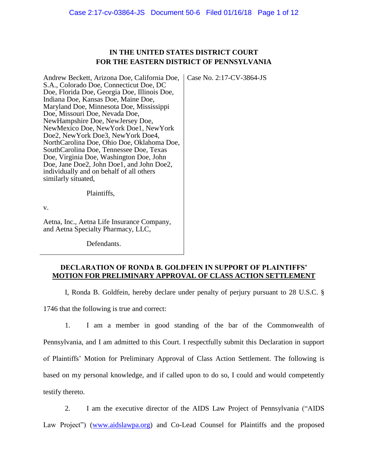# **IN THE UNITED STATES DISTRICT COURT FOR THE EASTERN DISTRICT OF PENNSYLVANIA**

Andrew Beckett, Arizona Doe, California Doe, S.A., Colorado Doe, Connecticut Doe, DC Doe, Florida Doe, Georgia Doe, Illinois Doe, Indiana Doe, Kansas Doe, Maine Doe, Maryland Doe, Minnesota Doe, Mississippi Doe, Missouri Doe, Nevada Doe, NewHampshire Doe, NewJersey Doe, NewMexico Doe, NewYork Doe1, NewYork Doe2, NewYork Doe3, NewYork Doe4, NorthCarolina Doe, Ohio Doe, Oklahoma Doe, SouthCarolina Doe, Tennessee Doe, Texas Doe, Virginia Doe, Washington Doe, John Doe, Jane Doe2, John Doe1, and John Doe2, individually and on behalf of all others similarly situated, Case No. 2:17-CV-3864-JS

Plaintiffs,

v.

Aetna, Inc., Aetna Life Insurance Company, and Aetna Specialty Pharmacy, LLC,

Defendants.

## **DECLARATION OF RONDA B. GOLDFEIN IN SUPPORT OF PLAINTIFFS' MOTION FOR PRELIMINARY APPROVAL OF CLASS ACTION SETTLEMENT**

I, Ronda B. Goldfein, hereby declare under penalty of perjury pursuant to 28 U.S.C. §

1746 that the following is true and correct:

1. I am a member in good standing of the bar of the Commonwealth of Pennsylvania, and I am admitted to this Court. I respectfully submit this Declaration in support of Plaintiffs' Motion for Preliminary Approval of Class Action Settlement. The following is based on my personal knowledge, and if called upon to do so, I could and would competently testify thereto.

2. I am the executive director of the AIDS Law Project of Pennsylvania ("AIDS Law Project") [\(www.aidslawpa.org\)](http://www.aidslawpa.org/) and Co-Lead Counsel for Plaintiffs and the proposed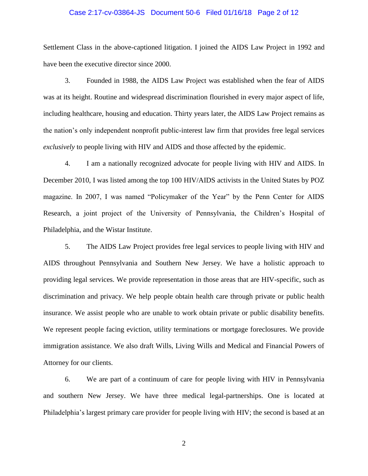## Case 2:17-cv-03864-JS Document 50-6 Filed 01/16/18 Page 2 of 12

Settlement Class in the above-captioned litigation. I joined the AIDS Law Project in 1992 and have been the executive director since 2000.

3. Founded in 1988, the AIDS Law Project was established when the fear of AIDS was at its height. Routine and widespread discrimination flourished in every major aspect of life, including healthcare, housing and education. Thirty years later, the AIDS Law Project remains as the nation's only independent nonprofit public-interest law firm that provides free legal services *exclusively* to people living with HIV and AIDS and those affected by the epidemic.

4. I am a nationally recognized advocate for people living with HIV and AIDS. In December 2010, I was listed among the top 100 HIV/AIDS activists in the United States by POZ magazine. In 2007, I was named "Policymaker of the Year" by the Penn Center for AIDS Research, a joint project of the University of Pennsylvania, the Children's Hospital of Philadelphia, and the Wistar Institute.

5. The AIDS Law Project provides free legal services to people living with HIV and AIDS throughout Pennsylvania and Southern New Jersey. We have a holistic approach to providing legal services. We provide representation in those areas that are HIV-specific, such as discrimination and privacy. We help people obtain health care through private or public health insurance. We assist people who are unable to work obtain private or public disability benefits. We represent people facing eviction, utility terminations or mortgage foreclosures. We provide immigration assistance. We also draft Wills, Living Wills and Medical and Financial Powers of Attorney for our clients.

6. We are part of a continuum of care for people living with HIV in Pennsylvania and southern New Jersey. We have three medical legal-partnerships. One is located at Philadelphia's largest primary care provider for people living with HIV; the second is based at an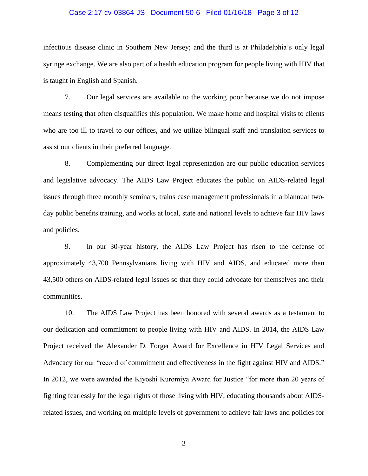### Case 2:17-cv-03864-JS Document 50-6 Filed 01/16/18 Page 3 of 12

infectious disease clinic in Southern New Jersey; and the third is at Philadelphia's only legal syringe exchange. We are also part of a health education program for people living with HIV that is taught in English and Spanish.

7. Our legal services are available to the working poor because we do not impose means testing that often disqualifies this population. We make home and hospital visits to clients who are too ill to travel to our offices, and we utilize bilingual staff and translation services to assist our clients in their preferred language.

8. Complementing our direct legal representation are our public education services and legislative advocacy. The AIDS Law Project educates the public on AIDS-related legal issues through three monthly seminars, trains case management professionals in a biannual twoday public benefits training, and works at local, state and national levels to achieve fair HIV laws and policies.

9. In our 30-year history, the AIDS Law Project has risen to the defense of approximately 43,700 Pennsylvanians living with HIV and AIDS, and educated more than 43,500 others on AIDS-related legal issues so that they could advocate for themselves and their communities.

10. The AIDS Law Project has been honored with several awards as a testament to our dedication and commitment to people living with HIV and AIDS. In 2014, the AIDS Law Project received the Alexander D. Forger Award for Excellence in HIV Legal Services and Advocacy for our "record of commitment and effectiveness in the fight against HIV and AIDS." In 2012, we were awarded the Kiyoshi Kuromiya Award for Justice "for more than 20 years of fighting fearlessly for the legal rights of those living with HIV, educating thousands about AIDSrelated issues, and working on multiple levels of government to achieve fair laws and policies for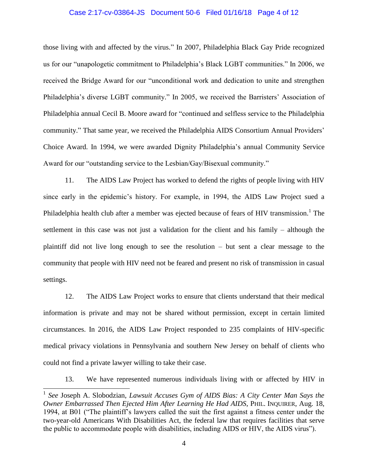#### Case 2:17-cv-03864-JS Document 50-6 Filed 01/16/18 Page 4 of 12

those living with and affected by the virus." In 2007, Philadelphia Black Gay Pride recognized us for our "unapologetic commitment to Philadelphia's Black LGBT communities." In 2006, we received the Bridge Award for our "unconditional work and dedication to unite and strengthen Philadelphia's diverse LGBT community." In 2005, we received the Barristers' Association of Philadelphia annual Cecil B. Moore award for "continued and selfless service to the Philadelphia community." That same year, we received the Philadelphia AIDS Consortium Annual Providers' Choice Award. In 1994, we were awarded Dignity Philadelphia's annual Community Service Award for our "outstanding service to the Lesbian/Gay/Bisexual community."

11. The AIDS Law Project has worked to defend the rights of people living with HIV since early in the epidemic's history. For example, in 1994, the AIDS Law Project sued a Philadelphia health club after a member was ejected because of fears of HIV transmission.<sup>1</sup> The settlement in this case was not just a validation for the client and his family – although the plaintiff did not live long enough to see the resolution – but sent a clear message to the community that people with HIV need not be feared and present no risk of transmission in casual settings.

12. The AIDS Law Project works to ensure that clients understand that their medical information is private and may not be shared without permission, except in certain limited circumstances. In 2016, the AIDS Law Project responded to 235 complaints of HIV-specific medical privacy violations in Pennsylvania and southern New Jersey on behalf of clients who could not find a private lawyer willing to take their case.

13. We have represented numerous individuals living with or affected by HIV in

 $\overline{a}$ 

<sup>1</sup> *See* Joseph A. Slobodzian, *Lawsuit Accuses Gym of AIDS Bias: A City Center Man Says the Owner Embarrassed Then Ejected Him After Learning He Had AIDS*, PHIL. INQUIRER, Aug. 18, 1994, at B01 ("The plaintiff's lawyers called the suit the first against a fitness center under the two-year-old Americans With Disabilities Act, the federal law that requires facilities that serve the public to accommodate people with disabilities, including AIDS or HIV, the AIDS virus").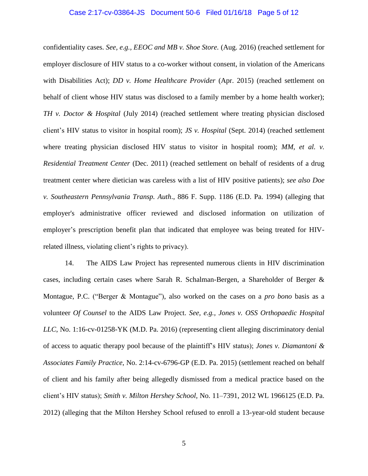### Case 2:17-cv-03864-JS Document 50-6 Filed 01/16/18 Page 5 of 12

confidentiality cases. *See, e.g., EEOC and MB v. Shoe Store.* (Aug. 2016) (reached settlement for employer disclosure of HIV status to a co-worker without consent, in violation of the Americans with Disabilities Act); *DD v. Home Healthcare Provider* (Apr. 2015) (reached settlement on behalf of client whose HIV status was disclosed to a family member by a home health worker); *TH v. Doctor & Hospital* (July 2014) (reached settlement where treating physician disclosed client's HIV status to visitor in hospital room); *JS v. Hospital* (Sept. 2014) (reached settlement where treating physician disclosed HIV status to visitor in hospital room); *MM, et al. v. Residential Treatment Center* (Dec. 2011) (reached settlement on behalf of residents of a drug treatment center where dietician was careless with a list of HIV positive patients); *see also Doe v. Southeastern Pennsylvania Transp. Auth*., 886 F. Supp. 1186 (E.D. Pa. 1994) (alleging that employer's administrative officer reviewed and disclosed information on utilization of employer's prescription benefit plan that indicated that employee was being treated for HIVrelated illness, violating client's rights to privacy).

14. The AIDS Law Project has represented numerous clients in HIV discrimination cases, including certain cases where Sarah R. Schalman-Bergen, a Shareholder of Berger & Montague, P.C. ("Berger & Montague"), also worked on the cases on a *pro bono* basis as a volunteer *Of Counsel* to the AIDS Law Project. *See, e.g., Jones v. OSS Orthopaedic Hospital LLC*, No. 1:16-cv-01258-YK (M.D. Pa. 2016) (representing client alleging discriminatory denial of access to aquatic therapy pool because of the plaintiff's HIV status); *Jones v. Diamantoni & Associates Family Practice*, No. 2:14-cv-6796-GP (E.D. Pa. 2015) (settlement reached on behalf of client and his family after being allegedly dismissed from a medical practice based on the client's HIV status); *Smith v. Milton Hershey School,* No. 11–7391, 2012 WL 1966125 (E.D. Pa. 2012) (alleging that the Milton Hershey School refused to enroll a 13-year-old student because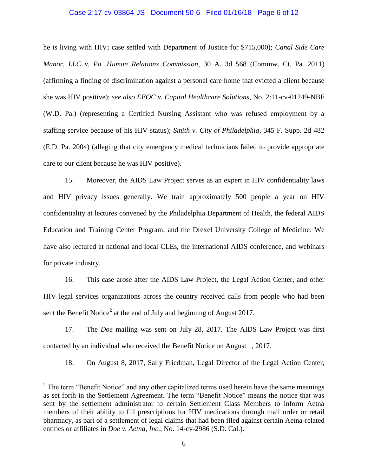#### Case 2:17-cv-03864-JS Document 50-6 Filed 01/16/18 Page 6 of 12

he is living with HIV; case settled with Department of Justice for \$715,000); *Canal Side Care Manor, LLC v. Pa. Human Relations Commission*, 30 A. 3d 568 (Commw. Ct. Pa. 2011) (affirming a finding of discrimination against a personal care home that evicted a client because she was HIV positive); *see also EEOC v. Capital Healthcare Solutions*, No. 2:11-cv-01249-NBF (W.D. Pa.) (representing a Certified Nursing Assistant who was refused employment by a staffing service because of his HIV status); *Smith v. City of Philadelphia*, 345 F. Supp. 2d 482 (E.D. Pa. 2004) (alleging that city emergency medical technicians failed to provide appropriate care to our client because he was HIV positive).

15. Moreover, the AIDS Law Project serves as an expert in HIV confidentiality laws and HIV privacy issues generally. We train approximately 500 people a year on HIV confidentiality at lectures convened by the Philadelphia Department of Health, the federal AIDS Education and Training Center Program, and the Drexel University College of Medicine. We have also lectured at national and local CLEs, the international AIDS conference, and webinars for private industry.

16. This case arose after the AIDS Law Project, the Legal Action Center, and other HIV legal services organizations across the country received calls from people who had been sent the Benefit Notice<sup>2</sup> at the end of July and beginning of August 2017.

17. The *Doe* mailing was sent on July 28, 2017. The AIDS Law Project was first contacted by an individual who received the Benefit Notice on August 1, 2017.

18. On August 8, 2017, Sally Friedman, Legal Director of the Legal Action Center,

l

 $2^2$  The term "Benefit Notice" and any other capitalized terms used herein have the same meanings as set forth in the Settlement Agreement. The term "Benefit Notice" means the notice that was sent by the settlement administrator to certain Settlement Class Members to inform Aetna members of their ability to fill prescriptions for HIV medications through mail order or retail pharmacy, as part of a settlement of legal claims that had been filed against certain Aetna-related entities or affiliates in *Doe v. Aetna, Inc.*, No. 14-cv-2986 (S.D. Cal.).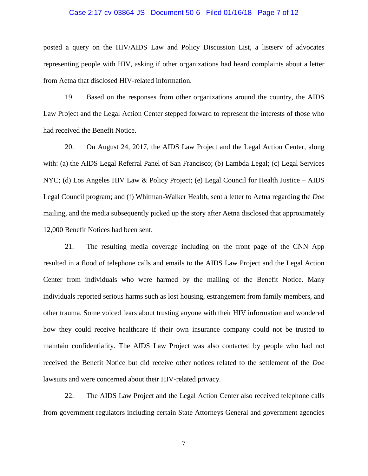### Case 2:17-cv-03864-JS Document 50-6 Filed 01/16/18 Page 7 of 12

posted a query on the HIV/AIDS Law and Policy Discussion List, a listserv of advocates representing people with HIV, asking if other organizations had heard complaints about a letter from Aetna that disclosed HIV-related information.

19. Based on the responses from other organizations around the country, the AIDS Law Project and the Legal Action Center stepped forward to represent the interests of those who had received the Benefit Notice.

20. On August 24, 2017, the AIDS Law Project and the Legal Action Center, along with: (a) the AIDS Legal Referral Panel of San Francisco; (b) Lambda Legal; (c) Legal Services NYC; (d) Los Angeles HIV Law & Policy Project; (e) Legal Council for Health Justice – AIDS Legal Council program; and (f) Whitman-Walker Health, sent a letter to Aetna regarding the *Doe*  mailing, and the media subsequently picked up the story after Aetna disclosed that approximately 12,000 Benefit Notices had been sent.

21. The resulting media coverage including on the front page of the CNN App resulted in a flood of telephone calls and emails to the AIDS Law Project and the Legal Action Center from individuals who were harmed by the mailing of the Benefit Notice. Many individuals reported serious harms such as lost housing, estrangement from family members, and other trauma. Some voiced fears about trusting anyone with their HIV information and wondered how they could receive healthcare if their own insurance company could not be trusted to maintain confidentiality. The AIDS Law Project was also contacted by people who had not received the Benefit Notice but did receive other notices related to the settlement of the *Doe*  lawsuits and were concerned about their HIV-related privacy.

22. The AIDS Law Project and the Legal Action Center also received telephone calls from government regulators including certain State Attorneys General and government agencies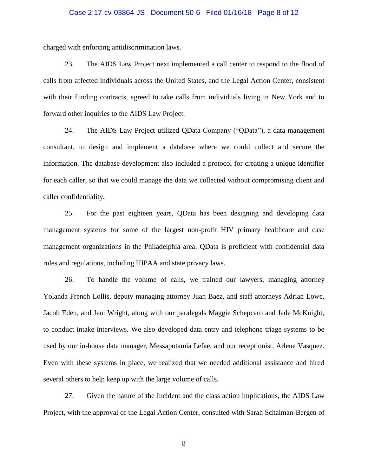#### Case 2:17-cv-03864-JS Document 50-6 Filed 01/16/18 Page 8 of 12

charged with enforcing antidiscrimination laws.

23. The AIDS Law Project next implemented a call center to respond to the flood of calls from affected individuals across the United States, and the Legal Action Center, consistent with their funding contracts, agreed to take calls from individuals living in New York and to forward other inquiries to the AIDS Law Project.

24. The AIDS Law Project utilized QData Company ("QData"), a data management consultant, to design and implement a database where we could collect and secure the information. The database development also included a protocol for creating a unique identifier for each caller, so that we could manage the data we collected without compromising client and caller confidentiality.

25. For the past eighteen years, QData has been designing and developing data management systems for some of the largest non-profit HIV primary healthcare and case management organizations in the Philadelphia area. QData is proficient with confidential data rules and regulations, including HIPAA and state privacy laws.

26. To handle the volume of calls, we trained our lawyers, managing attorney Yolanda French Lollis, deputy managing attorney Juan Baez, and staff attorneys Adrian Lowe, Jacob Eden, and Jeni Wright, along with our paralegals Maggie Schepcaro and Jade McKnight, to conduct intake interviews. We also developed data entry and telephone triage systems to be used by our in-house data manager, Messapotamia Lefae, and our receptionist, Arlene Vasquez. Even with these systems in place, we realized that we needed additional assistance and hired several others to help keep up with the large volume of calls.

27. Given the nature of the Incident and the class action implications, the AIDS Law Project, with the approval of the Legal Action Center, consulted with Sarah Schalman-Bergen of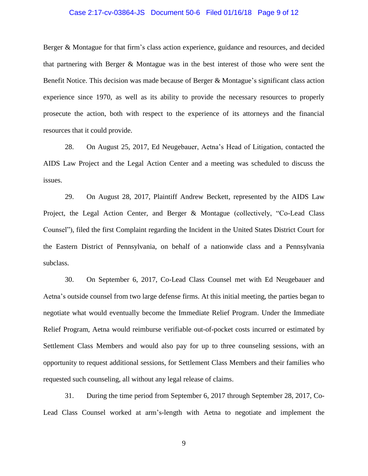### Case 2:17-cv-03864-JS Document 50-6 Filed 01/16/18 Page 9 of 12

Berger & Montague for that firm's class action experience, guidance and resources, and decided that partnering with Berger & Montague was in the best interest of those who were sent the Benefit Notice. This decision was made because of Berger & Montague's significant class action experience since 1970, as well as its ability to provide the necessary resources to properly prosecute the action, both with respect to the experience of its attorneys and the financial resources that it could provide.

28. On August 25, 2017, Ed Neugebauer, Aetna's Head of Litigation, contacted the AIDS Law Project and the Legal Action Center and a meeting was scheduled to discuss the issues.

29. On August 28, 2017, Plaintiff Andrew Beckett, represented by the AIDS Law Project, the Legal Action Center, and Berger & Montague (collectively, "Co-Lead Class Counsel"), filed the first Complaint regarding the Incident in the United States District Court for the Eastern District of Pennsylvania, on behalf of a nationwide class and a Pennsylvania subclass.

30. On September 6, 2017, Co-Lead Class Counsel met with Ed Neugebauer and Aetna's outside counsel from two large defense firms. At this initial meeting, the parties began to negotiate what would eventually become the Immediate Relief Program. Under the Immediate Relief Program, Aetna would reimburse verifiable out-of-pocket costs incurred or estimated by Settlement Class Members and would also pay for up to three counseling sessions, with an opportunity to request additional sessions, for Settlement Class Members and their families who requested such counseling, all without any legal release of claims.

31. During the time period from September 6, 2017 through September 28, 2017, Co-Lead Class Counsel worked at arm's-length with Aetna to negotiate and implement the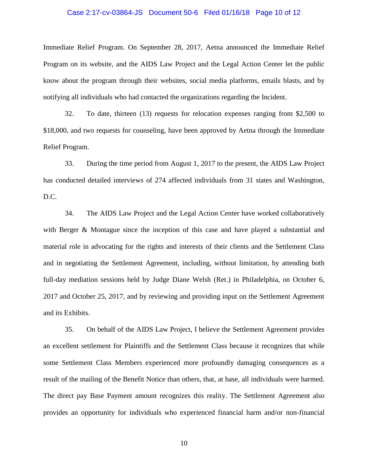#### Case 2:17-cv-03864-JS Document 50-6 Filed 01/16/18 Page 10 of 12

Immediate Relief Program. On September 28, 2017, Aetna announced the Immediate Relief Program on its website, and the AIDS Law Project and the Legal Action Center let the public know about the program through their websites, social media platforms, emails blasts, and by notifying all individuals who had contacted the organizations regarding the Incident.

32. To date, thirteen (13) requests for relocation expenses ranging from \$2,500 to \$18,000, and two requests for counseling, have been approved by Aetna through the Immediate Relief Program.

33. During the time period from August 1, 2017 to the present, the AIDS Law Project has conducted detailed interviews of 274 affected individuals from 31 states and Washington, D.C.

34. The AIDS Law Project and the Legal Action Center have worked collaboratively with Berger & Montague since the inception of this case and have played a substantial and material role in advocating for the rights and interests of their clients and the Settlement Class and in negotiating the Settlement Agreement, including, without limitation, by attending both full-day mediation sessions held by Judge Diane Welsh (Ret.) in Philadelphia, on October 6, 2017 and October 25, 2017, and by reviewing and providing input on the Settlement Agreement and its Exhibits.

35. On behalf of the AIDS Law Project, I believe the Settlement Agreement provides an excellent settlement for Plaintiffs and the Settlement Class because it recognizes that while some Settlement Class Members experienced more profoundly damaging consequences as a result of the mailing of the Benefit Notice than others, that, at base, all individuals were harmed. The direct pay Base Payment amount recognizes this reality. The Settlement Agreement also provides an opportunity for individuals who experienced financial harm and/or non-financial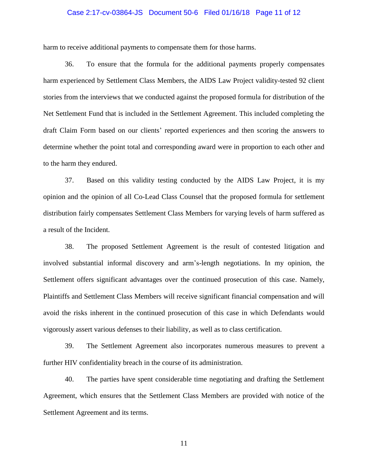# Case 2:17-cv-03864-JS Document 50-6 Filed 01/16/18 Page 11 of 12

harm to receive additional payments to compensate them for those harms.

36. To ensure that the formula for the additional payments properly compensates harm experienced by Settlement Class Members, the AIDS Law Project validity-tested 92 client stories from the interviews that we conducted against the proposed formula for distribution of the Net Settlement Fund that is included in the Settlement Agreement. This included completing the draft Claim Form based on our clients' reported experiences and then scoring the answers to determine whether the point total and corresponding award were in proportion to each other and to the harm they endured.

37. Based on this validity testing conducted by the AIDS Law Project, it is my opinion and the opinion of all Co-Lead Class Counsel that the proposed formula for settlement distribution fairly compensates Settlement Class Members for varying levels of harm suffered as a result of the Incident.

38. The proposed Settlement Agreement is the result of contested litigation and involved substantial informal discovery and arm's-length negotiations. In my opinion, the Settlement offers significant advantages over the continued prosecution of this case. Namely, Plaintiffs and Settlement Class Members will receive significant financial compensation and will avoid the risks inherent in the continued prosecution of this case in which Defendants would vigorously assert various defenses to their liability, as well as to class certification.

39. The Settlement Agreement also incorporates numerous measures to prevent a further HIV confidentiality breach in the course of its administration.

40. The parties have spent considerable time negotiating and drafting the Settlement Agreement, which ensures that the Settlement Class Members are provided with notice of the Settlement Agreement and its terms.